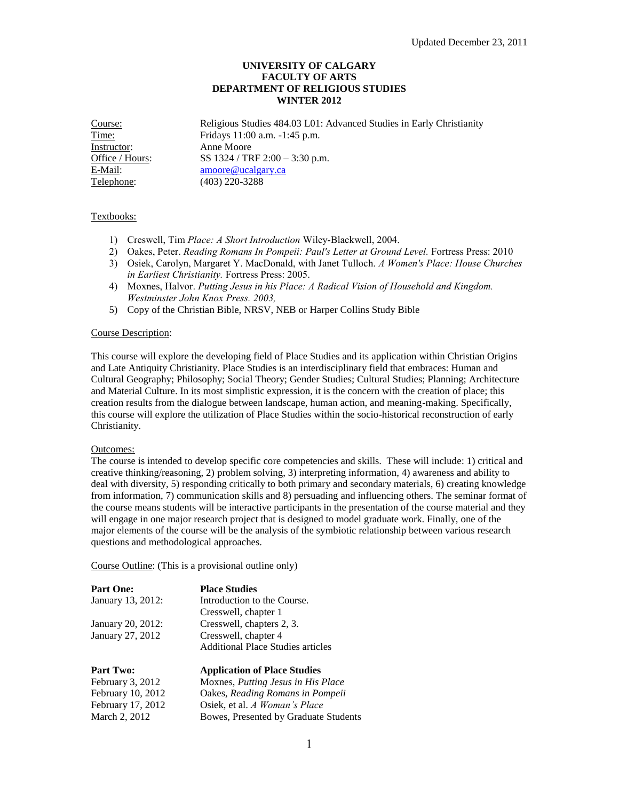# **UNIVERSITY OF CALGARY FACULTY OF ARTS DEPARTMENT OF RELIGIOUS STUDIES WINTER 2012**

Course: Religious Studies 484.03 L01: Advanced Studies in Early Christianity Time: Fridays 11:00 a.m. -1:45 p.m. Instructor: Anne Moore Office / Hours: SS 1324 / TRF 2:00 – 3:30 p.m. E-Mail: [amoore@ucalgary.ca](mailto:amoore@ucalgary.ca) Telephone: (403) 220-3288

# Textbooks:

- 1) Creswell, Tim *Place: A Short Introduction* Wiley-Blackwell, 2004.
- 2) Oakes, Peter. *Reading Romans In Pompeii: Paul's Letter at Ground Level.* Fortress Press: 2010
- 3) Osiek, Carolyn, Margaret Y. MacDonald, with Janet Tulloch. *A Women's Place: House Churches in Earliest Christianity.* Fortress Press: 2005.
- 4) Moxnes, Halvor. *Putting Jesus in his Place: A Radical Vision of Household and Kingdom. Westminster John Knox Press. 2003,*
- 5) Copy of the Christian Bible, NRSV, NEB or Harper Collins Study Bible

#### Course Description:

This course will explore the developing field of Place Studies and its application within Christian Origins and Late Antiquity Christianity. Place Studies is an interdisciplinary field that embraces: Human and Cultural Geography; Philosophy; Social Theory; Gender Studies; Cultural Studies; Planning; Architecture and Material Culture. In its most simplistic expression, it is the concern with the creation of place; this creation results from the dialogue between landscape, human action, and meaning-making. Specifically, this course will explore the utilization of Place Studies within the socio-historical reconstruction of early Christianity.

### Outcomes:

The course is intended to develop specific core competencies and skills. These will include: 1) critical and creative thinking/reasoning, 2) problem solving, 3) interpreting information, 4) awareness and ability to deal with diversity, 5) responding critically to both primary and secondary materials, 6) creating knowledge from information, 7) communication skills and 8) persuading and influencing others. The seminar format of the course means students will be interactive participants in the presentation of the course material and they will engage in one major research project that is designed to model graduate work. Finally, one of the major elements of the course will be the analysis of the symbiotic relationship between various research questions and methodological approaches.

Course Outline: (This is a provisional outline only)

| <b>Part One:</b>  | <b>Place Studies</b>                     |
|-------------------|------------------------------------------|
| January 13, 2012: | Introduction to the Course.              |
|                   | Cresswell, chapter 1                     |
| January 20, 2012: | Cresswell, chapters 2, 3.                |
| January 27, 2012  | Cresswell, chapter 4                     |
|                   | <b>Additional Place Studies articles</b> |

| <b>Part Two:</b>  | <b>Application of Place Studies</b>   |  |
|-------------------|---------------------------------------|--|
| February 3, 2012  | Moxnes, Putting Jesus in His Place    |  |
| February 10, 2012 | Oakes, Reading Romans in Pompeii      |  |
| February 17, 2012 | Osiek, et al. A Woman's Place         |  |
| March 2, 2012     | Bowes, Presented by Graduate Students |  |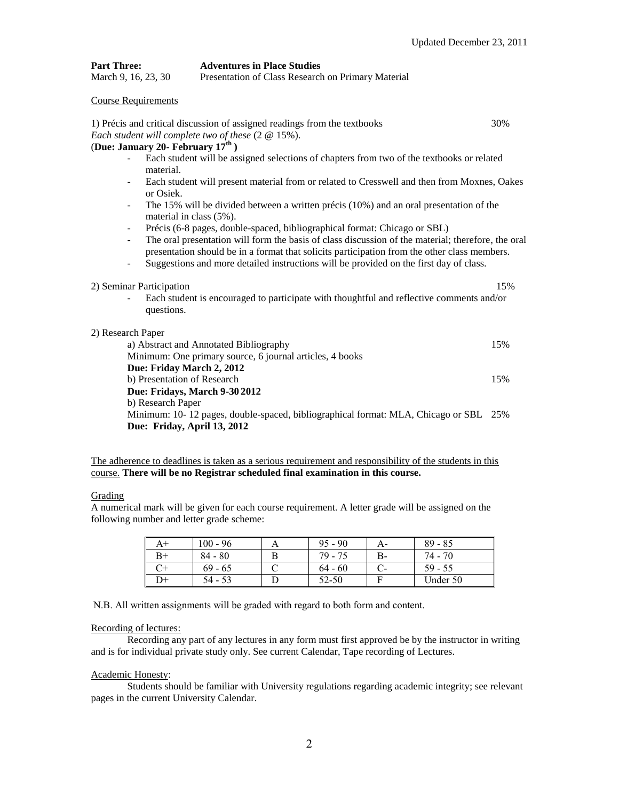| <b>Part Three:</b>  | <b>Adventures in Place Studies</b>                 |
|---------------------|----------------------------------------------------|
| March 9, 16, 23, 30 | Presentation of Class Research on Primary Material |

#### Course Requirements

| 1) Précis and critical discussion of assigned readings from the textbooks                                                                     | 30% |  |  |  |
|-----------------------------------------------------------------------------------------------------------------------------------------------|-----|--|--|--|
| Each student will complete two of these $(2 \t@ 15\%)$ .                                                                                      |     |  |  |  |
| (Due: January 20 - February $17th$ )                                                                                                          |     |  |  |  |
| Each student will be assigned selections of chapters from two of the textbooks or related<br>material.                                        |     |  |  |  |
| Each student will present material from or related to Cresswell and then from Moxnes, Oakes<br>$\overline{\phantom{0}}$<br>or Osiek.          |     |  |  |  |
| The 15% will be divided between a written précis (10%) and an oral presentation of the<br>$\overline{\phantom{0}}$<br>material in class (5%). |     |  |  |  |
| Précis (6-8 pages, double-spaced, bibliographical format: Chicago or SBL)<br>$\overline{\phantom{a}}$                                         |     |  |  |  |
| The oral presentation will form the basis of class discussion of the material; therefore, the oral<br>$\overline{\phantom{0}}$                |     |  |  |  |
| presentation should be in a format that solicits participation from the other class members.                                                  |     |  |  |  |
| Suggestions and more detailed instructions will be provided on the first day of class.<br>÷                                                   |     |  |  |  |
| 2) Seminar Participation                                                                                                                      | 15% |  |  |  |
| Each student is encouraged to participate with thoughtful and reflective comments and/or<br>questions.                                        |     |  |  |  |
| 2) Research Paper                                                                                                                             |     |  |  |  |
| a) Abstract and Annotated Bibliography                                                                                                        | 15% |  |  |  |
| Minimum: One primary source, 6 journal articles, 4 books                                                                                      |     |  |  |  |
| Due: Friday March 2, 2012                                                                                                                     |     |  |  |  |
| b) Presentation of Research                                                                                                                   | 15% |  |  |  |
| Due: Fridays, March 9-30 2012                                                                                                                 |     |  |  |  |
| b) Research Paper                                                                                                                             |     |  |  |  |
| Minimum: 10-12 pages, double-spaced, bibliographical format: MLA, Chicago or SBL 25%                                                          |     |  |  |  |
| Due: Friday, April 13, 2012                                                                                                                   |     |  |  |  |

The adherence to deadlines is taken as a serious requirement and responsibility of the students in this course. **There will be no Registrar scheduled final examination in this course.**

### **Grading**

A numerical mark will be given for each course requirement. A letter grade will be assigned on the following number and letter grade scheme:

| A+ | $100 - 96$ | $95 - 90$ |    | $89 - 85$ |
|----|------------|-----------|----|-----------|
|    | $84 - 80$  | $79 - 75$ | В- | 74 - 70   |
|    | $69 - 65$  | $64 - 60$ |    | $59 - 55$ |
| D+ | 54 - 53    | 52-50     | Е  | Under 50  |

N.B. All written assignments will be graded with regard to both form and content.

## Recording of lectures:

Recording any part of any lectures in any form must first approved be by the instructor in writing and is for individual private study only. See current Calendar, Tape recording of Lectures.

#### Academic Honesty:

Students should be familiar with University regulations regarding academic integrity; see relevant pages in the current University Calendar.